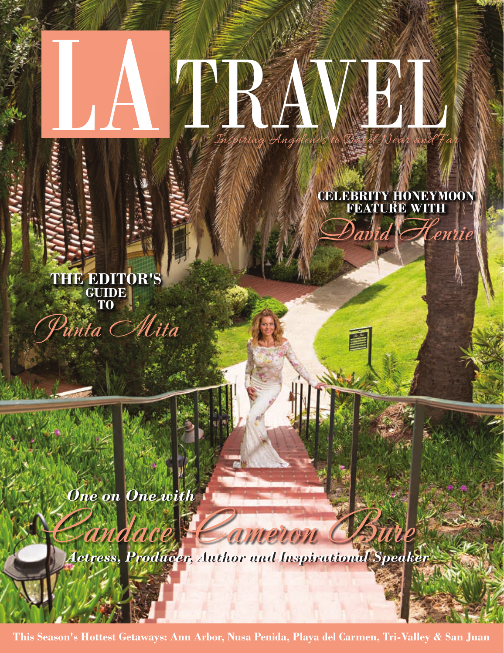## RANDA RANDA Inspiring Angelenos to Travel Near and Far

**THE EDITOR'S GUIDE TO**

unta Mita

## **CELEBRITY HONEYMOON FEATURE WITH**

entie

*One on One with One on One with*

*Actress, Producer, Author and Inspirational Speaker Actress, Producer, Author and Inspirational Speaker*

 $\epsilon \sim$ anne $\alpha$ on

**This Season's Hottest Getaways: Ann Arbor, Nusa Penida, Playa del Carmen, Tri-Valley & San Juan**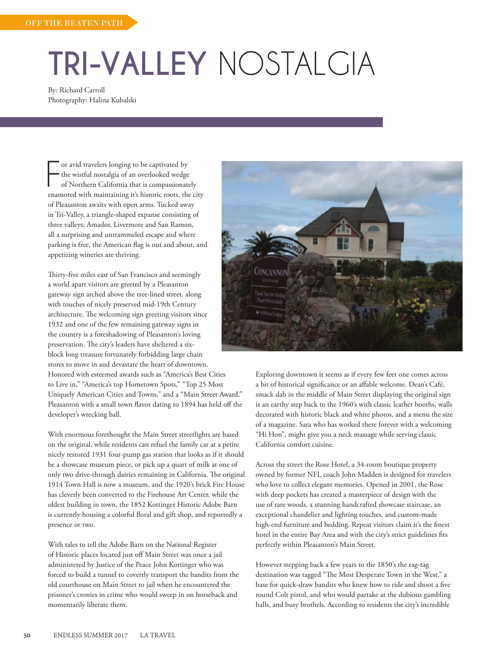## **TRI-VALLEY** NOSTALGIA

By: Richard Carroll Photography: Halina Kubalski

F or avid travelers longing to be captivated by the wistful nostalgia of an overlooked wedge of Northern California that is compassionately enamored with maintaining it's historic roots, the city of Pleasanton awaits with open arms. Tucked away in Tri-Valley, a triangle-shaped expanse consisting of three valleys; Amador, Livermore and San Ramon, all a surprising and untrammeled escape and where parking is free, the American flag is out and about, and appetizing wineries are thriving.

Thirty-five miles east of San Francisco and seemingly a world apart visitors are greeted by a Pleasanton gateway sign arched above the tree-lined street, along with touches of nicely preserved mid-19th Century architecture. The welcoming sign greeting visitors since 1932 and one of the few remaining gateway signs in the country is a foreshadowing of Pleasanton's loving preservation. The city's leaders have sheltered a sixblock long treasure fortunately forbidding large chain stores to move in and devastate the heart of downtown. Honored with esteemed awards such as "America's Best Cities to Live in," "America's top Hometown Spots," "Top 25 Most Uniquely American Cities and Towns," and a "Main Street Award," Pleasanton with a small town flavor dating to 1894 has held off the developer's wrecking ball.

With enormous forethought the Main Street streetlights are based on the original, while residents can refuel the family car at a petite nicely restored 1931 four-pump gas station that looks as if it should be a showcase museum piece, or pick up a quart of milk at one of only two drive-through dairies remaining in California. The original 1914 Town Hall is now a museum, and the 1920's brick Fire House has cleverly been converted to the Firehouse Art Center, while the oldest building in town, the 1852 Kottinger Historic Adobe Barn is currently housing a colorful floral and gift shop, and reportedly a presence or two.

With tales to tell the Adobe Barn on the National Register of Historic places located just off Main Street was once a jail administered by Justice of the Peace John Kottinger who was forced to build a tunnel to covertly transport the bandits from the old courthouse on Main Street to jail when he encountered the prisoner's cronies in crime who would sweep in on horseback and momentarily liberate them.



Exploring downtown it seems as if every few feet one comes across a bit of historical significance or an affable welcome. Dean's Café, smack dab in the middle of Main Street displaying the original sign is an earthy step back to the 1960's with classic leather booths, walls decorated with historic black and white photos, and a menu the size of a magazine. Sara who has worked there forever with a welcoming "Hi Hon", might give you a neck massage while serving classic California comfort cuisine.

Across the street the Rose Hotel, a 34-room boutique property owned by former NFL coach John Madden is designed for travelers who love to collect elegant memories. Opened in 2001, the Rose with deep pockets has created a masterpiece of design with the use of rare woods, a stunning handcrafted showcase staircase, an exceptional chandelier and lighting touches, and custom-made high-end furniture and bedding. Repeat visitors claim it's the finest hotel in the entire Bay Area and with the city's strict guidelines fits perfectly within Pleasanton's Main Street.

However stepping back a few years to the 1850's the rag-tag destination was tagged "The Most Desperate Town in the West," a base for quick-draw bandits who knew how to ride and shoot a five round Colt pistol, and who would partake at the dubious gambling halls, and busy brothels. According to residents the city's incredible